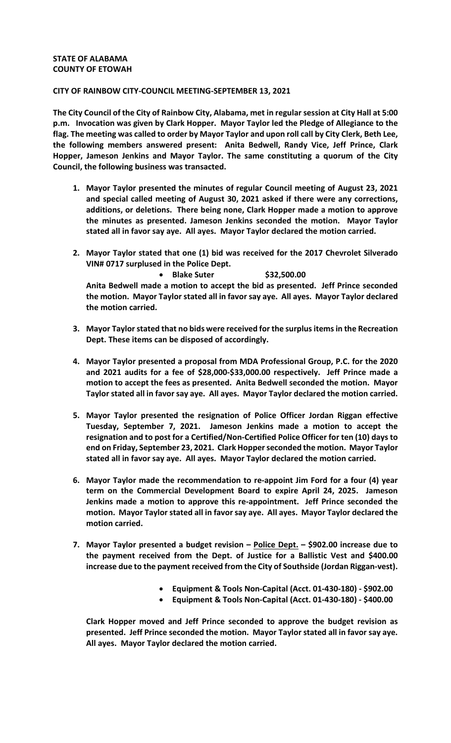## **STATE OF ALABAMA COUNTY OF ETOWAH**

## **CITY OF RAINBOW CITY-COUNCIL MEETING-SEPTEMBER 13, 2021**

**The City Council of the City of Rainbow City, Alabama, met in regular session at City Hall at 5:00 p.m. Invocation was given by Clark Hopper. Mayor Taylor led the Pledge of Allegiance to the flag. The meeting was called to order by Mayor Taylor and upon roll call by City Clerk, Beth Lee, the following members answered present: Anita Bedwell, Randy Vice, Jeff Prince, Clark Hopper, Jameson Jenkins and Mayor Taylor. The same constituting a quorum of the City Council, the following business was transacted.** 

- **1. Mayor Taylor presented the minutes of regular Council meeting of August 23, 2021 and special called meeting of August 30, 2021 asked if there were any corrections, additions, or deletions. There being none, Clark Hopper made a motion to approve the minutes as presented. Jameson Jenkins seconded the motion. Mayor Taylor stated all in favor say aye. All ayes. Mayor Taylor declared the motion carried.**
- **2. Mayor Taylor stated that one (1) bid was received for the 2017 Chevrolet Silverado VIN# 0717 surplused in the Police Dept.**

• **Blake Suter \$32,500.00 Anita Bedwell made a motion to accept the bid as presented. Jeff Prince seconded the motion. Mayor Taylor stated all in favor say aye. All ayes. Mayor Taylor declared the motion carried.**

- **3. Mayor Taylor stated that no bids were received for the surplus items in the Recreation Dept. These items can be disposed of accordingly.**
- **4. Mayor Taylor presented a proposal from MDA Professional Group, P.C. for the 2020 and 2021 audits for a fee of \$28,000-\$33,000.00 respectively. Jeff Prince made a motion to accept the fees as presented. Anita Bedwell seconded the motion. Mayor Taylor stated all in favor say aye. All ayes. Mayor Taylor declared the motion carried.**
- **5. Mayor Taylor presented the resignation of Police Officer Jordan Riggan effective Tuesday, September 7, 2021. Jameson Jenkins made a motion to accept the resignation and to post for a Certified/Non-Certified Police Officer for ten (10) days to end on Friday, September 23, 2021. Clark Hopperseconded the motion. Mayor Taylor stated all in favor say aye. All ayes. Mayor Taylor declared the motion carried.**
- **6. Mayor Taylor made the recommendation to re-appoint Jim Ford for a four (4) year term on the Commercial Development Board to expire April 24, 2025. Jameson Jenkins made a motion to approve this re-appointment. Jeff Prince seconded the motion. Mayor Taylor stated all in favor say aye. All ayes. Mayor Taylor declared the motion carried.**
- **7. Mayor Taylor presented a budget revision Police Dept. \$902.00 increase due to the payment received from the Dept. of Justice for a Ballistic Vest and \$400.00 increase due to the payment received from the City of Southside (Jordan Riggan-vest).**
	- **Equipment & Tools Non-Capital (Acct. 01-430-180) \$902.00**
	- **Equipment & Tools Non-Capital (Acct. 01-430-180) \$400.00**

**Clark Hopper moved and Jeff Prince seconded to approve the budget revision as presented. Jeff Prince seconded the motion. Mayor Taylor stated all in favor say aye. All ayes. Mayor Taylor declared the motion carried.**